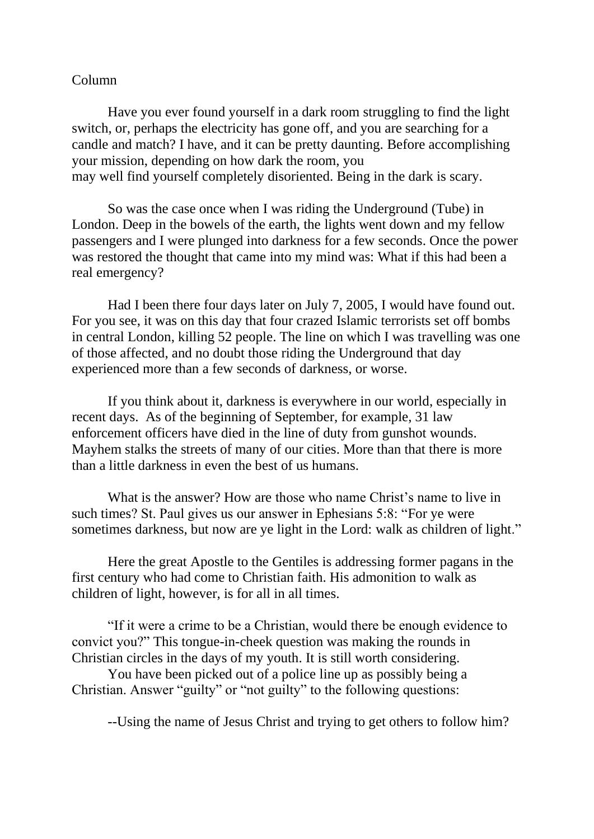## Column

Have you ever found yourself in a dark room struggling to find the light switch, or, perhaps the electricity has gone off, and you are searching for a candle and match? I have, and it can be pretty daunting. Before accomplishing your mission, depending on how dark the room, you may well find yourself completely disoriented. Being in the dark is scary.

So was the case once when I was riding the Underground (Tube) in London. Deep in the bowels of the earth, the lights went down and my fellow passengers and I were plunged into darkness for a few seconds. Once the power was restored the thought that came into my mind was: What if this had been a real emergency?

Had I been there four days later on July 7, 2005, I would have found out. For you see, it was on this day that four crazed Islamic terrorists set off bombs in central London, killing 52 people. The line on which I was travelling was one of those affected, and no doubt those riding the Underground that day experienced more than a few seconds of darkness, or worse.

If you think about it, darkness is everywhere in our world, especially in recent days. As of the beginning of September, for example, 31 law enforcement officers have died in the line of duty from gunshot wounds. Mayhem stalks the streets of many of our cities. More than that there is more than a little darkness in even the best of us humans.

What is the answer? How are those who name Christ's name to live in such times? St. Paul gives us our answer in Ephesians 5:8: "For ye were sometimes darkness, but now are ye light in the Lord: walk as children of light."

Here the great Apostle to the Gentiles is addressing former pagans in the first century who had come to Christian faith. His admonition to walk as children of light, however, is for all in all times.

"If it were a crime to be a Christian, would there be enough evidence to convict you?" This tongue-in-cheek question was making the rounds in Christian circles in the days of my youth. It is still worth considering.

You have been picked out of a police line up as possibly being a Christian. Answer "guilty" or "not guilty" to the following questions:

--Using the name of Jesus Christ and trying to get others to follow him?